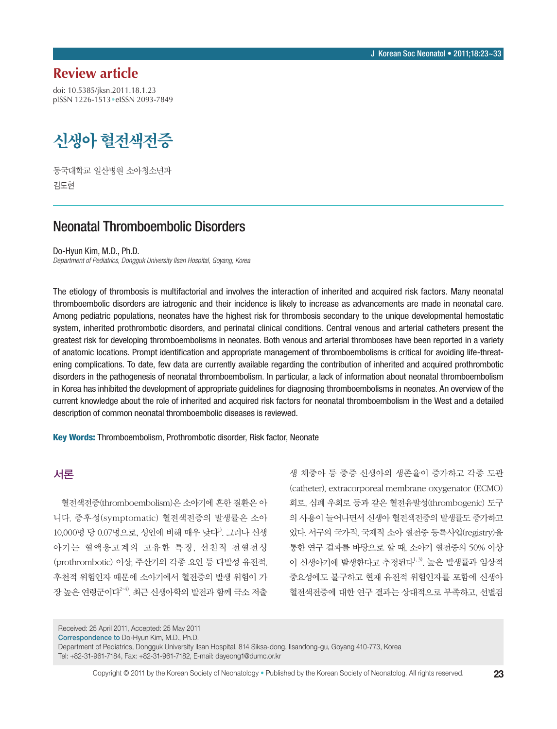# **Review article**

doi: 10.5385/jksn.2011.18.1.23 pISSN 1226-1513•eISSN 2093-7849

# 신생아 혈전색전증

동국대학교 일산병원 소아청소년과 김도현

# Neonatal Thromboembolic Disorders

Do-Hyun Kim, M.D., Ph.D.

*Department of Pediatrics, Dongguk University Ilsan Hospital, Goyang, Korea* 

The etiology of thrombosis is multifactorial and involves the interaction of inherited and acquired risk factors. Many neonatal thromboembolic disorders are iatrogenic and their incidence is likely to increase as advancements are made in neonatal care. Among pediatric populations, neonates have the highest risk for thrombosis secondary to the unique developmental hemostatic system, inherited prothrombotic disorders, and perinatal clinical conditions. Central venous and arterial catheters present the greatest risk for developing thromboembolisms in neonates. Both venous and arterial thromboses have been reported in a variety of anatomic locations. Prompt identification and appropriate management of thromboembolisms is critical for avoiding life-threatening complications. To date, few data are currently available regarding the contribution of inherited and acquired prothrombotic disorders in the pathogenesis of neonatal thromboembolism. In particular, a lack of information about neonatal thromboembolism in Korea has inhibited the development of appropriate guidelines for diagnosing thromboembolisms in neonates. An overview of the current knowledge about the role of inherited and acquired risk factors for neonatal thromboembolism in the West and a detailed description of common neonatal thromboembolic diseases is reviewed.

Key Words: Thromboembolism, Prothrombotic disorder, Risk factor, Neonate

# 서론

혈전색전증(thromboembolism)은 소아기에 흔한 질환은 아 니다. 증후성(symptomatic) 혈전색전증의 발생률은 소아 10,000명 당 0.07명으로, 성인에 비해 매우 낮다1). 그러나 신생 아기는 혈액응고계의 고유한 특징, 선천적 전혈전성 (prothrombotic) 이상, 주산기의 각종 요인 등 다발성 유전적, 후천적 위험인자 때문에 소아기에서 혈전증의 발생 위험이 가 장 높은 연령군이다2-4). 최근 신생아학의 발전과 함께 극소 저출

생 체중아 등 중증 신생아의 생존율이 증가하고 각종 도관 (catheter), extracorporeal membrane oxygenator (ECMO) 회로, 심폐 우회로 등과 같은 혈전유발성(thrombogenic) 도구 의 사용이 늘어나면서 신생아 혈전색전증의 발생률도 증가하고 있다. 서구의 국가적, 국제적 소아 혈전증 등록사업(registry)을 통한 연구 결과를 바탕으로 할 때, 소아기 혈전증의 50% 이상 이 신생아기에 발생한다고 추정된다<sup>1, 3)</sup>. 높은 발생률과 임상적 중요성에도 불구하고 현재 유전적 위험인자를 포함에 신생아 혈전색전증에 대한 연구 결과는 상대적으로 부족하고, 선별검

Received: 25 April 2011, Accepted: 25 May 2011

Correspondence to Do-Hyun Kim, M.D., Ph.D.

Department of Pediatrics, Dongguk University Ilsan Hospital, 814 Siksa-dong, Ilsandong-gu, Goyang 410-773, Korea Tel: +82-31-961-7184, Fax: +82-31-961-7182, E-mail: dayeong1@dumc.or.kr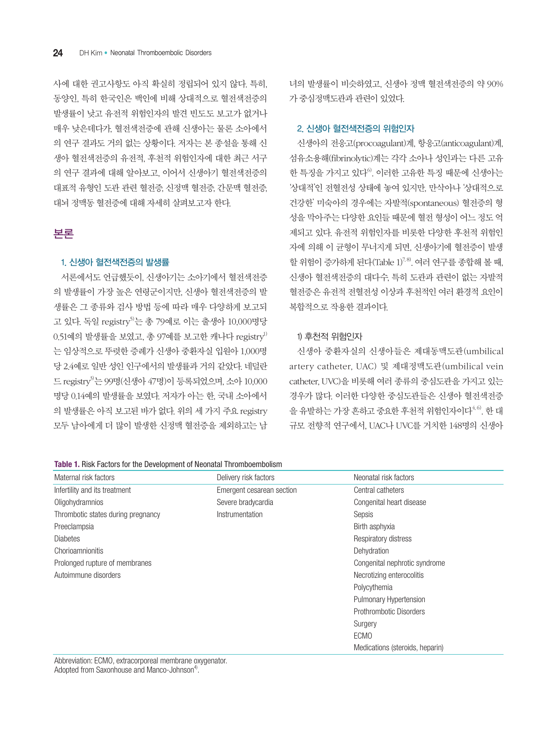사에 대한 권고사항도 아직 확실히 정립되어 있지 않다. 특히, 동양인, 특히 한국인은 백인에 비해 상대적으로 혈전색전증의 발생률이 낮고 유전적 위험인자의 발견 빈도도 보고가 없거나 매우 낮은데다가, 혈전색전증에 관해 신생아는 물론 소아에서 의 연구 결과도 거의 없는 상황이다. 저자는 본 종설을 통해 신 생아 혈전색전증의 유전적, 후천적 위험인자에 대한 최근 서구 의 연구 결과에 대해 알아보고, 이어서 신생아기 혈전색전증의 대표적 유형인 도관 관련 혈전증, 신정맥 혈전증, 간문맥 혈전증, 대뇌 정맥동 혈전증에 대해 자세히 살펴보고자 한다.

## 본론

#### 1. 신생아 혈전색전증의 발생률

서론에서도 언급했듯이, 신생아기는 소아기에서 혈전색전증 의 발생률이 가장 높은 연령군이지만, 신생아 혈전색전증의 발 생률은 그 종류와 검사 방법 등에 따라 매우 다양하게 보고되 고 있다. 독일 registry<sup>5)</sup>는 총 79예로 이는 출생아 10,000명당  $0.51$ 예의 발생률을 보였고, 총 97예를 보고한 캐나다 registry<sup>1)</sup> 는 임상적으로 뚜렷한 증례가 신생아 중환자실 입원아 1,000명 당 2.4예로 일반 성인 인구에서의 발생률과 거의 같았다. 네덜란 드 registry3)는 99명(신생아 47명)이 등록되었으며, 소아 10,000 명당 0.14예의 발생률을 보였다. 저자가 아는 한, 국내 소아에서 의 발생률은 아직 보고된 바가 없다. 위의 세 가지 주요 registry 모두 남아에게 더 많이 발생한 신정맥 혈전증을 제외하고는 남 녀의 발생률이 비슷하였고, 신생아 정맥 혈전색전증의 약 90% 가 중심정맥도관과 관련이 있었다.

#### 2. 신생아 혈전색전증의 위험인자

신생아의 전응고(procoagulant)계, 항응고(anticoagulant)계, 섬유소용해(fibrinolytic)계는 각각 소아나 성인과는 다른 고유 한 특징을 가지고 있다 $^{6}$ . 이러한 고유한 특징 때문에 신생아는 '상대적'인 전혈전성 상태에 놓여 있지만, 만삭아나 '상대적으로 건강한' 미숙아의 경우에는 자발적(spontaneous) 혈전증의 형 성을 막아주는 다양한 요인들 때문에 혈전 형성이 어느 정도 억 제되고 있다. 유전적 위험인자를 비롯한 다양한 후천적 위험인 자에 의해 이 균형이 무너지게 되면, 신생아기에 혈전증이 발생 할 위험이 증가하게 된다(Table 1)<sup>7,8)</sup>. 여러 연구를 종합해 볼 때, 신생아 혈전색전증의 대다수, 특히 도관과 관련이 없는 자발적 혈전증은 유전적 전혈전성 이상과 후천적인 여러 환경적 요인이 복합적으로 작용한 결과이다.

#### 1) 후천적 위험인자

신생아 중환자실의 신생아들은 제대동맥도관(umbilical artery catheter, UAC) 및 제대정맥도관(umbilical vein catheter, UVC)을 비롯해 여러 종류의 중심도관을 가지고 있는 경우가 많다. 이러한 다양한 중심도관들은 신생아 혈전색전증 을 유발하는 가장 흔하고 중요한 후천적 위험인자이다<sup>4,6)</sup>. 한 대 규모 전향적 연구에서, UAC나 UVC를 거치한 148명의 신생아

| Maternal risk factors              | Delivery risk factors     | Neonatal risk factors           |
|------------------------------------|---------------------------|---------------------------------|
| Infertility and its treatment      | Emergent cesarean section | Central catheters               |
| Oligohydramnios                    | Severe bradycardia        | Congenital heart disease        |
| Thrombotic states during pregnancy | Instrumentation           | Sepsis                          |
| Preeclampsia                       |                           | Birth asphyxia                  |
| <b>Diabetes</b>                    |                           | Respiratory distress            |
| Chorioamnionitis                   |                           | Dehydration                     |
| Prolonged rupture of membranes     |                           | Congenital nephrotic syndrome   |
| Autoimmune disorders               |                           | Necrotizing enterocolitis       |
|                                    |                           | Polycythemia                    |
|                                    |                           | <b>Pulmonary Hypertension</b>   |
|                                    |                           | Prothrombotic Disorders         |
|                                    |                           | Surgery                         |
|                                    |                           | <b>ECMO</b>                     |
|                                    |                           | Medications (steroids, heparin) |

Abbreviation: ECMO, extracorporeal membrane oxygenator. Adopted from Saxonhouse and Manco-Johnson<sup>4)</sup>.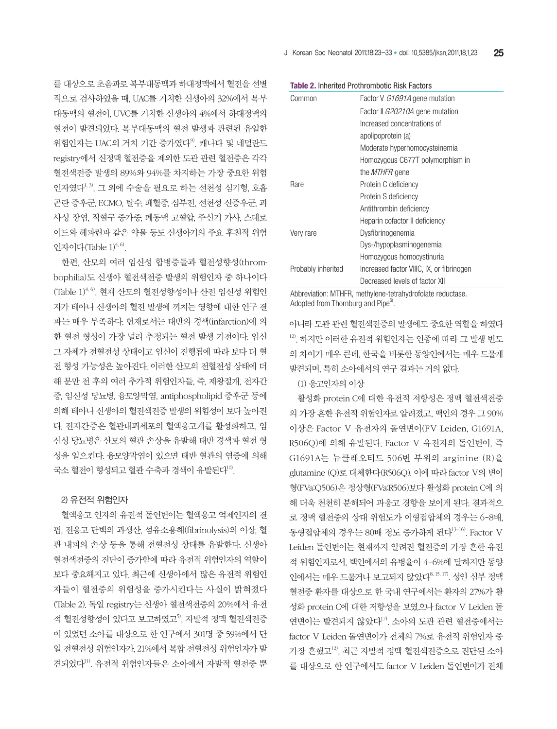를 대상으로 초음파로 복부대동맥과 하대정맥에서 혈전을 선별 적으로 검사하였을 때, UAC를 거치한 신생아의 32%에서 복부 대동맥의 혈전이, UVC를 거치한 신생아의 4%에서 하대정맥의 혈전이 발견되었다. 복부대동맥의 혈전 발생과 관련된 유일한 위험인자는 UAC의 거치 기가 증가였다<sup>9)</sup> 캐나다 및 네덜라드 registry에서 신정맥 혈전증을 제외한 도관 관련 혈전증은 각각 혈전색전증 발생의 89%와 94%를 차지하는 가장 중요한 위험 인자였다1, 3). 그 외에 수술을 필요로 하는 선천성 심기형, 호흡 곤란 증후군, ECMO, 탈수, 패혈증, 심부전, 선천성 신증후군, 괴 사성 장염, 적혈구 증가증, 폐동맥 고혈압, 주산기 가사, 스테로 이드와 헤파린과 같은 약물 등도 신생아기의 주요 후천적 위험 인자이다 $(Table 1)^{4,6}$ .

한편, 산모의 여러 임신성 합병증들과 혈전성향성(thrombophilia)도 신생아 혈전색전증 발생의 위험인자 중 하나이다  $(Table 1)$ <sup> $4,6)$ </sup>. 현재 산모의 혈전성향성이나 산전 임신성 위험인 자가 태아나 신생아의 혈전 발생에 끼치는 영향에 대한 연구 결 과는 매우 부족하다. 현재로서는 태반의 경색(infarction)에 의 한 혈전 형성이 가장 널리 추정되는 혈전 발생 기전이다. 임신 그 자체가 전혈전성 상태이고 임신이 진행됨에 따라 보다 더 혈 전 형성 가능성은 높아진다. 이러한 산모의 전혈전성 상태에 더 해 분만 전 후의 여러 추가적 위험인자들, 즉, 제왕절개, 전자간 증, 임신성 당뇨병, 융모양막염, antiphospholipid 증후군 등에 의해 태아나 신생아의 혈전색전증 발생의 위험성이 보다 높아진 다. 전자간증은 혈관내피세포의 혈액응고계를 활성화하고, 임 신성 당뇨병은 산모의 혈관 손상을 유발해 태반 경색과 혈전 형 성을 일으킨다. 융모양막염이 있으면 태반 혈관의 염증에 의해 국소 혈저이 형성되고 혈관 수축과 경색이 유발된다<sup>10)</sup>.

#### 2) 유전적 위험인자

혈액응고 인자의 유전적 돌연변이는 혈액응고 억제인자의 결 핍, 전응고 단백의 과생산, 섬유소용해(fibrinolysis)의 이상, 혈 관 내피의 손상 등을 통해 전혈전성 상태를 유발한다. 신생아 혈전색전증의 진단이 증가함에 따라 유전적 위험인자의 역할이 보다 중요해지고 있다. 최근에 신생아에서 많은 유전적 위험인 자들이 혈전증의 위험성을 증가시킨다는 사실이 밝혀졌다 (Table 2). 독일 registry는 신생아 혈전색전증의 20%에서 유전 적 혈전성향성이 있다고 보고하였고<sup>5</sup>, 자발적 정맥 혈전색전증 이 있었던 소아를 대상으로 한 연구에서 301명 중 59%에서 단 일 전혈전성 위험인자가, 21%에서 복합 전혈전성 위험인자가 발 견되었다11). 유전적 위험인자들은 소아에서 자발적 혈전증 뿐

**Table 2.** Inherited Prothrombotic Risk Factors

| Common             | Factor V G1691A gene mutation             |  |
|--------------------|-------------------------------------------|--|
|                    | Factor II G20210A gene mutation           |  |
|                    | Increased concentrations of               |  |
|                    | apolipoprotein (a)                        |  |
|                    | Moderate hyperhomocysteinemia             |  |
|                    | Homozygous C677T polymorphism in          |  |
|                    | the <i>MTHFR</i> gene                     |  |
| <b>Rare</b>        | Protein C deficiency                      |  |
|                    | Protein S deficiency                      |  |
|                    | Antithrombin deficiency                   |  |
|                    | Heparin cofactor II deficiency            |  |
| Very rare          | Dysfibrinogenemia                         |  |
|                    | Dys-/hypoplasminogenemia                  |  |
|                    | Homozygous homocystinuria                 |  |
| Probably inherited | Increased factor VIIIC, IX, or fibrinogen |  |
|                    | Decreased levels of factor XII            |  |
|                    |                                           |  |

Abbreviation: MTHFR, methylene-tetrahydrofolate reductase. Adopted from Thornburg and Pipe<sup>6)</sup>.

아니라 도관 관련 혈전색전증의 발생에도 중요한 역할을 하였다 12). 하지만 이러한 유전적 위험인자는 인종에 따라 그 발생 빈도 의 차이가 매우 큰데, 한국을 비롯한 동양인에서는 매우 드물게 발견되며, 특히 소아에서의 연구 결과는 거의 없다.

#### (1) 응고인자의 이상

활성화 protein C에 대한 유전적 저항성은 정맥 혈전색전증 의 가장 흔한 유전적 위험인자로 알려졌고, 백인의 경우 그 90% 이상은 Factor Ⅴ 유전자의 돌연변이(FⅤ Leiden, G1691A, R506Q)에 의해 유발된다. Factor Ⅴ 유전자의 돌연변이, 즉 G1691A는 뉴클레오티드 506번 부위의 arginine (R)을 glutamine (Q)로 대체한다(R506Q). 이에 따라 factor Ⅴ의 변이 형(FVa:Q506)은 정상형(FVa:R506)보다 활성화 protein C에 의 해 더욱 천천히 분해되어 과응고 경향을 보이게 된다. 결과적으 로 정맥 혈전증의 상대 위험도가 이형접합체의 경우는 6-8배, 동형접합체의 경우는 80배 정도 증가하게 된다<sup>13-16)</sup>. Factor V Leiden 돌연변이는 현재까지 알려진 혈전증의 가장 흔한 유전 적 위험인자로서, 백인에서의 유병율이 4-6%에 달하지만 동양 인에서는 매우 드물거나 보고되지 않았다8, 15, 17). 성인 심부 정맥 혈전증 환자를 대상으로 한 국내 연구에서는 환자의 27%가 활 성화 protein C에 대한 저항성을 보였으나 factor Ⅴ Leiden 돌 연변이는 발견되지 않았다<sup>17</sup>. 소아의 도관 관련 혈전증에서는 factor Ⅴ Leiden 돌연변이가 전체의 7%로 유전적 위험인자 중 가장 흔했고12), 최근 자발적 정맥 혈전색전증으로 진단된 소아 를 대상으로 한 연구에서도 factor Ⅴ Leiden 돌연변이가 전체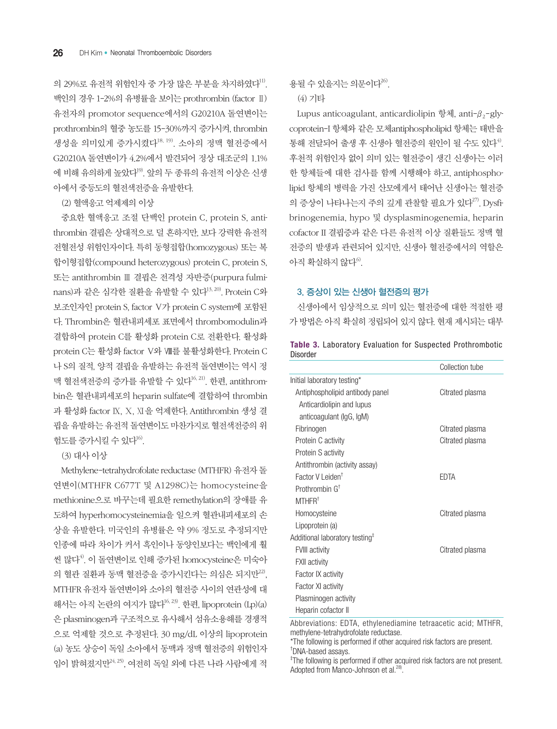의 29%로 유전적 위험인자 중 가장 많은 부분을 차지하였다<sup>11)</sup>. 백인의 경우 1-2%의 유병률을 보이는 prothrombin (factor Ⅱ) 유전자의 promotor sequence에서의 G20210A 돌연변이는 prothrombin의 혈중 농도를 15-30%까지 증가시켜, thrombin 생성을 의미있게 증가시켰다18, 19). 소아의 정맥 혈전증에서 G20210A 돌연변이가 4.2%에서 발견되어 정상 대조군의 1.1% 에 비해 유의하게 높았다<sup>19)</sup>. 앞의 두 종류의 유전적 이상은 신생 아에서 중등도의 혈전색전증을 유발한다.

(2) 혈액응고 억제제의 이상

중요한 혈액응고 조절 단백인 protein C, protein S, antithrombin 결핍은 상대적으로 덜 흔하지만, 보다 강력한 유전적 전혈전성 위험인자이다. 특히 동형접합(homozygous) 또는 복 합이형접합(compound heterozygous) protein C, protein S, 또는 antithrombin Ⅲ 결핍은 전격성 자반증(purpura fulminans)과 같은 심각한 질환을 유발할 수 있다<sup>13, 20)</sup>. Protein C와 보조인자인 protein S, factor Ⅴ가 protein C system에 포함된 다. Thrombin은 혈관내피세포 표면에서 thrombomodulin과 결합하여 protein C를 활성화 protein C로 전환한다. 활성화 protein C는 활성화 factor Ⅴ와 Ⅷ를 불활성화한다. Protein C 나 S의 질적, 양적 결핍을 유발하는 유전적 돌연변이는 역시 정 맥 혈전색전증의 증가를 유발할 수 있다 $^{16, 21)}$ . 한편, antithrombin은 혈관내피세포의 heparin sulfate에 결합하여 thrombin 과 활성화 factor Ⅸ, Ⅹ, ⅩⅠ을 억제한다. Antithrombin 생성 결 핍을 유발하는 유전적 돌연변이도 마찬가지로 혈전색전증의 위 현도를 증가시킬 수 있다 $^{16}$ .

(3) 대사 이상

Methylene-tetrahydrofolate reductase (MTHFR) 유전자 돌 연변이(MTHFR C677T 및 A1298C)는 homocysteine을 methionine으로 바꾸는데 필요한 remethylation의 장애를 유 도하여 hyperhomocysteinemia을 일으켜 혈관내피세포의 손 상을 유발한다. 미국인의 유병률은 약 9% 정도로 추정되지만 인종에 따라 차이가 커서 흑인이나 동양인보다는 백인에게 훨 씬 많다<sup>4)</sup>. 이 돌연변이로 인해 증가된 homocysteine은 미숙아 의 혈관 질환과 동맥 혈전증을 증가시킨다는 의심은 되지만<sup>22)</sup>, MTHFR 유전자 돌연변이와 소아의 혈전증 사이의 연관성에 대 해서는 아직 논란의 여지가 많다 $16, 23$ . 한편, lipoprotein  $(Lp)(a)$ 은 plasminogen과 구조적으로 유사해서 섬유소용해를 경쟁적 으로 억제할 것으로 추정된다. 30 mg/dL 이상의 lipoprotein (a) 농도 상승이 독일 소아에서 동맥과 정맥 혈전증의 위험인자 임이 밝혀졌지만 $^{24,25)}$ , 여전히 독일 외에 다른 나라 사람에게 적

용될 수 있을지는 의문이다<sup>26)</sup>.

#### (4) 기타

Lupus anticoagulant, anticardiolipin 항체, anti- $\beta_2$ -glycoprotein-I 항체와 같은 모체antiphospholipid 항체는 태반을 통해 전달되어 출생 후 신생아 혈전증의 워인이 될 수도 있다 $^{4)}$ . 후천적 위험인자 없이 의미 있는 혈전증이 생긴 신생아는 이러 한 항체들에 대한 검사를 함께 시행해야 하고, antiphospholipid 항체의 병력을 가진 산모에게서 태어난 신생아는 혈전증 의 증상이 나타나는지 주의 깊게 관찰할 필요가 있다<sup>27)</sup>. Dvsfibrinogenemia, hypo 및 dysplasminogenemia, heparin cofactor II 결핍증과 같은 다른 유전적 이상 질환들도 정맥 혈 전증의 발생과 관련되어 있지만, 신생아 혈전증에서의 역할은 아직 확실하지 않다 $^{6}$ .

#### 3. 증상이 있는 신생아 혈전증의 평가

신생아에서 임상적으로 의미 있는 혈전증에 대한 적절한 평 가 방법은 아직 확실히 정립되어 있지 않다. 현재 제시되는 대부

|                 |  | Table 3. Laboratory Evaluation for Suspected Prothrombotic |
|-----------------|--|------------------------------------------------------------|
| <b>Disorder</b> |  |                                                            |

|                                                         | Collection tube |
|---------------------------------------------------------|-----------------|
| Initial laboratory testing*                             |                 |
| Antiphospholipid antibody panel                         | Citrated plasma |
| Anticardiolipin and lupus                               |                 |
| anticoagulant (IgG, IgM)                                |                 |
| Fibrinogen                                              | Citrated plasma |
| Protein C activity                                      | Citrated plasma |
| Protein S activity                                      |                 |
| Antithrombin (activity assay)                           |                 |
| Factor V Leiden <sup>+</sup>                            | FDTA            |
| Prothrombin $G^{\dagger}$                               |                 |
| MTHFR <sup>†</sup>                                      |                 |
| Homocysteine                                            | Citrated plasma |
| Lipoprotein (a)                                         |                 |
| Additional laboratory testing <sup><math>†</math></sup> |                 |
| <b>FVIII activity</b>                                   | Citrated plasma |
| <b>FXII</b> activity                                    |                 |
| Factor IX activity                                      |                 |
| Factor XI activity                                      |                 |
| Plasminogen activity                                    |                 |
| Heparin cofactor II                                     |                 |

Abbreviations: EDTA, ethylenediamine tetraacetic acid; MTHFR, methylene-tetrahydrofolate reductase.

\*The following is performed if other acquired risk factors are present. † DNA-based assays.

‡ The following is performed if other acquired risk factors are not present. Adopted from Manco-Johnson et al.<sup>28)</sup>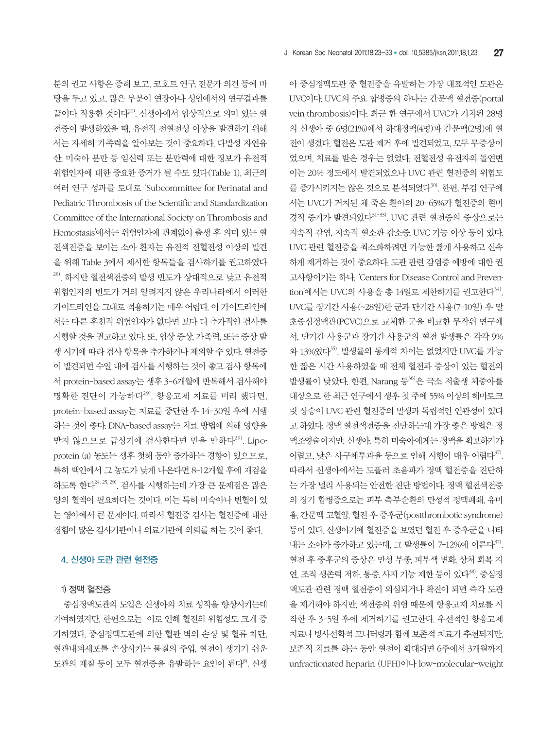아 중심정맥도관 중 혈전증을 유발하는 가장 대표적인 도관은 UVC이다. UVC의 주요 합병증의 하나는 간문맥 혈전증(portal vein thrombosis)이다. 최근 한 연구에서 UVC가 거치된 28명 의 신생아 중 6명(21%)에서 하대정맥(4명)과 간문맥(2명)에 혈 전이 생겼다. 혈전은 도관 제거 후에 발견되었고, 모두 무증상이 었으며, 치료를 받은 경우는 없었다. 전혈전성 유전자의 돌연변 이는 20% 정도에서 발견되었으나 UVC 관련 혈전증의 위험도 를 증가시키지는 않은 것으로 분석되었다<sup>30)</sup>. 한편, 부검 연구에 서는 UVC가 거치된 채 죽은 환아의 20-65%가 혈전증의 현미 경적 증거가 발견되었다<sup>31-33)</sup>. UVC 관련 혈전증의 증상으로는 지속적 감염, 지속적 혈소판 감소증, UVC 기능 이상 등이 있다. UVC 관련 혈전증을 최소화하려면 가능한 짧게 사용하고 신속 하게 제거하는 것이 중요하다. 도관 관련 감염증 예방에 대한 권 고사항이기는 하나, 'Centers for Disease Control and Prevention'에서는 UVC의 사용을 총 14일로 제한하기를 권고한다<sup>34)</sup>. UVC를 장기간 사용(~28일)한 군과 단기간 사용(7-10일) 후 말 초중심정맥관(PCVC)으로 교체한 군을 비교한 무작위 연구에 서, 단기간 사용군과 장기간 사용군의 혈전 발생률은 각각 9% 와 13%였다 $35$ . 발생률의 통계적 차이는 없었지만 UVC를 가능 한 짧은 시간 사용하였을 때 전체 혈전과 증상이 있는 혈전의 발생률이 낮았다. 한편, Narang 등36)은 극소 저출생 체중아를 대상으로 한 최근 연구에서 생후 첫 주에 55% 이상의 헤마토크 릿 상승이 UVC 관련 혈전증의 발생과 독립적인 연관성이 있다 고 하였다. 정맥 혈전색전증을 진단하는데 가장 좋은 방법은 정 맥조영술이지만, 신생아, 특히 미숙아에게는 정맥을 확보하기가 어렵고, 낮은 사구체투과율 등으로 인해 시행이 매우 어렵다37. 따라서 신생아에서는 도플러 초음파가 정맥 혈전증을 진단하 는 가장 널리 사용되는 안전한 진단 방법이다. 정맥 혈전색전증 의 장기 합병증으로는 피부 측부순환의 만성적 정맥폐쇄, 유미 흉, 간문맥 고혈압, 혈전 후 증후군(postthrombotic syndrome) 등이 있다. 신생아기에 혈전증을 보였던 혈전 후 증후군을 나타 내는 소아가 증가하고 있는데, 그 발생률이 7-12%에 이른다 $37$ . 혈전 후 증후군의 증상은 만성 부종, 피부색 변화, 상처 회복 지 연, 조직 생존력 저하, 통증, 사지 기능 제한 등이 있다<sup>38)</sup>. 중심정 맥도관 관련 정맥 혈전증이 의심되거나 확진이 되면 즉각 도관 을 제거해야 하지만, 색전증의 위험 때문에 항응고제 치료를 시 작한 후 3-5일 후에 제거하기를 권고한다. 우선적인 항응고제 치료나 방사선학적 모니터링과 함께 보존적 치료가 추천되지만, 보존적 치료를 하는 동안 혈전이 확대되면 6주에서 3개월까지 unfractionated heparin (UFH)이나 low-molecular-weight

분의 권고 사항은 증례 보고, 코호트 연구, 전문가 의견 등에 바 탕을 두고 있고, 많은 부분이 연장아나 성인에서의 연구결과를 끌어다 적용한 것이다20). 신생아에서 임상적으로 의미 있는 혈 전증이 발생하였을 때, 유전적 전혈전성 이상을 발견하기 위해 서는 자세히 가족력을 알아보는 것이 중요하다. 다발성 자연유 산, 미숙아 분만 등 임신력 또는 분만력에 대한 정보가 유전적 위험인자에 대한 중요한 증거가 될 수도 있다(Table 1). 최근의 여러 연구 성과를 토대로 'Subcommittee for Perinatal and Pediatric Thrombosis of the Scientific and Standardization Committee of the International Society on Thrombosis and Hemostasis'에서는 위험인자에 관계없이 출생 후 의미 있는 혈 전색전증을 보이는 소아 환자는 유전적 전혈전성 이상의 발견 을 위해 Table 3에서 제시한 항목들을 검사하기를 권고하였다 28). 하지만 혈전색전증의 발생 빈도가 상대적으로 낮고 유전적 위험인자의 빈도가 거의 알려지지 않은 우리나라에서 이러한 가이드라인을 그대로 적용하기는 매우 어렵다. 이 가이드라인에 서는 다른 후천적 위험인자가 없다면 보다 더 추가적인 검사를 시행할 것을 권고하고 있다. 또, 임상 증상, 가족력, 또는 증상 발 생 시기에 따라 검사 항목을 추가하거나 제외할 수 있다. 혈전증 이 발견되면 수일 내에 검사를 시행하는 것이 좋고 검사 항목에 서 protein-based assay는 생후 3-6개월에 반복해서 검사해야 명확한 진단이 가능하다<sup>29)</sup>. 항응고제 치료를 미리 했다면, protein-based assay는 치료를 중단한 후 14-30일 후에 시행 하는 것이 좋다. DNA-based assay는 치료 방법에 의해 영향을 받지 않으므로 급성기에 검사한다면 믿을 만하다<sup>29)</sup>. Lipoprotein (a) 농도는 생후 첫해 동안 증가하는 경향이 있으므로, 특히 백인에서 그 농도가 낮게 나온다면 8-12개월 후에 재검을 하도록 한다 $^{24, 25, 29)}$ . 검사를 시행하는데 가장 큰 문제점은 많은 양의 혈액이 필요하다는 것이다. 이는 특히 미숙아나 빈혈이 있 는 영아에서 큰 문제이다. 따라서 혈전증 검사는 혈전증에 대한 경험이 많은 검사기관이나 의료기관에 의뢰를 하는 것이 좋다.

## 4. 신생아 도관 관련 혈전증

1) 정맥 혈전증

 중심정맥도관의 도입은 신생아의 치료 성적을 향상시키는데 기여하였지만, 한편으로는 이로 인해 혈전의 위험성도 크게 증 가하였다. 중심정맥도관에 의한 혈관 벽의 손상 및 혈류 차단, 혈관내피세포를 손상시키는 물질의 주입, 혈전이 생기기 쉬운 도관의 재질 등이 모두 혈전증을 유발하는 요인이 된다<sup>8</sup>. 신생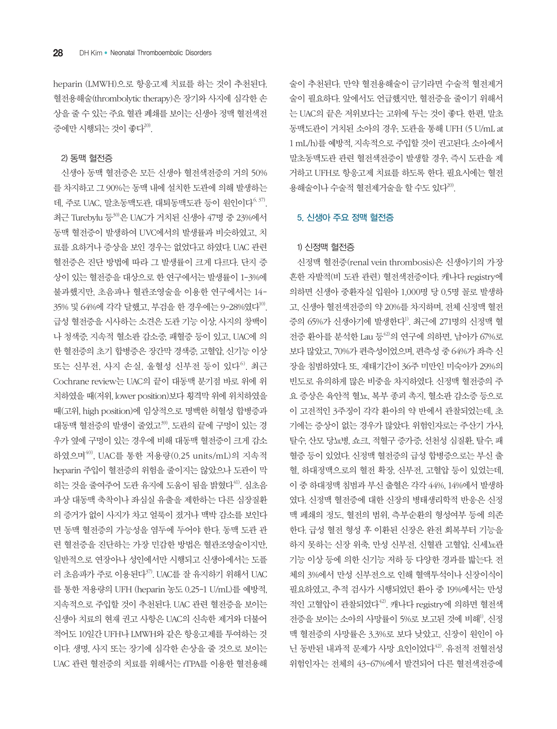heparin (LMWH)으로 항응고제 치료를 하는 것이 추천된다. 혈전용해술(thrombolytic therapy)은 장기와 사지에 심각한 손 상을 줄 수 있는 주요 혈관 폐쇄를 보이는 신생아 정맥 혈전색전 증에만 시행되는 것이 좋다<sup>20)</sup>.

#### 2) 동맥 혈전증

신생아 동맥 혈전증은 모든 신생아 혈전색전증의 거의 50% 를 차지하고 그 90%는 동맥 내에 설치한 도관에 의해 발생하는 데, 주로 UAC, 말초동맥도관, 대퇴동맥도관 등이 원인이다 $^{6,37}$ . 최근 Turebylu 등30)은 UAC가 거치된 신생아 47명 중 23%에서 동맥 혈전증이 발생하여 UVC에서의 발생률과 비슷하였고, 치 료를 요하거나 증상을 보인 경우는 없었다고 하였다. UAC 관련 혈전증은 진단 방법에 따라 그 발생률이 크게 다르다. 단지 증 상이 있는 혈전증을 대상으로 한 연구에서는 발생률이 1-3%에 불과했지만, 초음파나 혈관조영술을 이용한 연구에서는 14- 35% 및 64%에 각각 달했고, 부검을 한 경우에는 9-28%였다<sup>10</sup>. 급성 혈전증을 시사하는 소견은 도관 기능 이상, 사지의 창백이 나 청색증, 지속적 혈소판 감소증, 패혈증 등이 있고, UAC에 의 한 혈전증의 초기 합병증은 장간막 경색증, 고혈압, 신기능 이상 또는 신부전, 사지 손실, 울혈성 신부전 등이 있다<sup>6)</sup>. 최근 Cochrane review는 UAC의 끝이 대동맥 분기점 바로 위에 위 치하였을 때(저위, lower position)보다 횡격막 위에 위치하였을 때(고위, high position)에 임상적으로 명백한 허혈성 합병증과 대동맥 혈전증의 발생이 줄었고39, 도관의 끝에 구멍이 있는 경 우가 옆에 구멍이 있는 경우에 비해 대동맥 혈전증이 크게 감소 하였으며40), UAC를 통한 저용량(0.25 units/mL)의 지속적 heparin 주입이 혈전증의 위험을 줄이지는 않았으나 도관이 막 히는 것을 줄여주어 도관 유지에 도움이 됨을 밝혔다<sup>41</sup>. 심초음 파상 대동맥 축착이나 좌심실 유출을 제한하는 다른 심장질환 의 증거가 없이 사지가 차고 얼룩이 졌거나 맥박 감소를 보인다 면 동맥 혈전증의 가능성을 염두에 두어야 한다. 동맥 도관 관 련 혈전증을 진단하는 가장 민감한 방법은 혈관조영술이지만, 일반적으로 연장아나 성인에서만 시행되고 신생아에서는 도플 러 초음파가 주로 이용된다37). UAC를 잘 유지하기 위해서 UAC 를 통한 저용량의 UFH (heparin 농도 0.25-1 U/mL)를 예방적, 지속적으로 주입할 것이 추천된다. UAC 관련 혈전증을 보이는 신생아 치료의 현재 권고 사항은 UAC의 신속한 제거와 더불어 적어도 10일간 UFH나 LMWH와 같은 항응고제를 투여하는 것 이다. 생명, 사지 또는 장기에 심각한 손상을 줄 것으로 보이는 UAC 관련 혈전증의 치료를 위해서는 rTPA를 이용한 혈전용해

술이 추천된다. 만약 혈전용해술이 금기라면 수술적 혈전제거 술이 필요하다. 앞에서도 언급했지만, 혈전증을 줄이기 위해서 는 UAC의 끝은 저위보다는 고위에 두는 것이 좋다. 한편, 말초 동맥도관이 거치된 소아의 경우, 도관을 통해 UFH (5 U/mL at 1 mL/h)를 예방적, 지속적으로 주입할 것이 권고된다. 소아에서 말초동맥도관 관련 혈전색전증이 발생할 경우, 즉시 도관을 제 거하고 UFH로 항응고제 치료를 하도록 한다. 필요시에는 혈전 용해술이나 수술적 혈저제거술을 할 수도 있다<sup>20)</sup>.

#### 5. 신생아 주요 정맥 혈전증

#### 1) 신정맥 혈전증

신정맥 혈전증(renal vein thrombosis)은 신생아기의 가장 흔한 자발적(비 도관 관련) 혈전색전증이다. 캐나다 registry에 의하면 신생아 중환자실 입원아 1,000명 당 0.5명 꼴로 발생하 고, 신생아 혈전색전증의 약 20%를 차지하며, 전체 신정맥 혈전 증의 65%가 신생아기에 발생한다<sup>1)</sup>. 최근에 271명의 신정맥 혈 전증 환아를 분석한 Lau 등 $42$ 의 연구에 의하면, 남아가 67%로 보다 많았고, 70%가 편측성이었으며, 편측성 중 64%가 좌측 신 장을 침범하였다. 또, 재태기간이 36주 미만인 미숙아가 29%의 빈도로 유의하게 많은 비중을 차지하였다. 신정맥 혈전증의 주 요 증상은 육안적 혈뇨, 복부 종괴 촉지, 혈소판 감소증 등으로 이 고전적인 3주징이 각각 환아의 약 반에서 관찰되었는데, 초 기에는 증상이 없는 경우가 많았다. 위험인자로는 주산기 가사, 탈수, 산모 당뇨병, 쇼크, 적혈구 증가증, 선천성 심질환, 탈수, 패 혈증 등이 있었다. 신정맥 혈전증의 급성 합병증으로는 부신 출 혈, 하대정맥으로의 혈전 확장, 신부전, 고혈압 등이 있었는데, 이 중 하대정맥 침범과 부신 출혈은 각각 44%, 14%에서 발생하 였다. 신정맥 혈전증에 대한 신장의 병태생리학적 반응은 신정 맥 페쇄의 정도, 혈전의 범위, 측부순환의 형성여부 등에 의존 한다. 급성 혈전 형성 후 이환된 신장은 완전 회복부터 기능을 하지 못하는 신장 위축, 만성 신부전, 신혈관 고혈압, 신세뇨관 기능 이상 등에 의한 신기능 저하 등 다양한 경과를 밟는다. 전 체의 3%에서 만성 신부전으로 인해 혈액투석이나 신장이식이 필요하였고, 추적 검사가 시행되었던 환아 중 19%에서는 만성 적인 고혈압이 관찰되었다<sup>42</sup>. 캐나다 registry에 의하면 혈전색 전증을 보이는 소아의 사망률이 5%로 보고된 것에 비해<sup>1)</sup>, 신정 맥 혈전증의 사망률은 3.3%로 보다 낮았고, 신장이 원인이 아 닌 동반된 내과적 문제가 사망 요인이었다42). 유전적 전혈전성 위험인자는 전체의 43-67%에서 발견되어 다른 혈전색전증에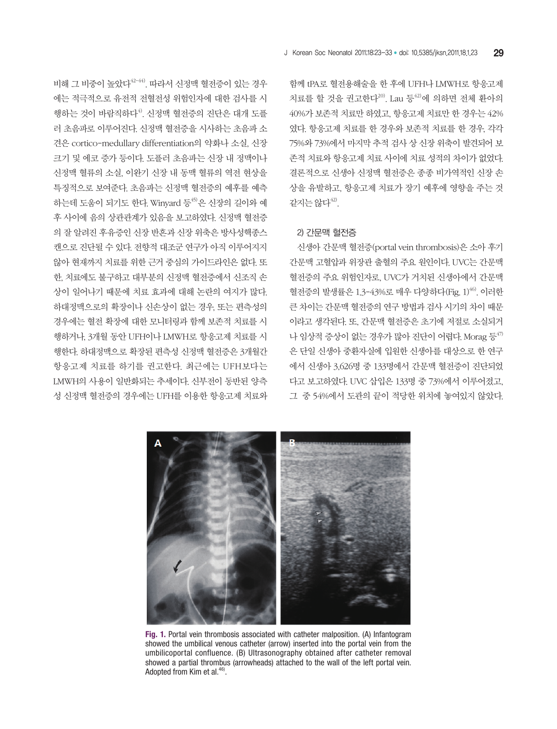비해 그 비중이 높았다 $42-44$ ). 따라서 신정맥 혈전증이 있는 경우 에는 적극적으로 유전적 전혈전성 위험인자에 대한 검사를 시 행하는 것이 바람직하다<sup>4)</sup>. 신정맥 혈전증의 진단은 대개 도플 러 초음파로 이루어진다. 신정맥 혈전증을 시사하는 초음파 소 견은 cortico-medullary differentiation의 약화나 소실, 신장 크기 및 에코 증가 등이다. 도플러 초음파는 신장 내 정맥이나 신정맥 혈류의 소실, 이완기 신장 내 동맥 혈류의 역전 현상을 특징적으로 보여준다. 초음파는 신정맥 혈전증의 예후를 예측 하는데 도움이 되기도 한다. Winyard 등45)은 신장의 길이와 예 후 사이에 음의 상관관계가 있음을 보고하였다. 신정맥 혈전증 의 잘 알려진 후유증인 신장 반흔과 신장 위축은 방사성핵종스 캔으로 진단될 수 있다. 전향적 대조군 연구가 아직 이루어지지 않아 현재까지 치료를 위한 근거 중심의 가이드라인은 없다. 또 한, 치료에도 불구하고 대부분의 신정맥 혈전증에서 신조직 손 상이 일어나기 때문에 치료 효과에 대해 논란의 여지가 많다. 하대정맥으로의 확장이나 신손상이 없는 경우, 또는 편측성의 경우에는 혈전 확장에 대한 모니터링과 함께 보존적 치료를 시 행하거나, 3개월 동안 UFH이나 LMWH로 항응고제 치료를 시 행한다. 하대정맥으로 확장된 편측성 신정맥 혈전증은 3개월간 항응고제 치료를 하기를 권고한다. 최근에는 UFH보다는 LMWH의 사용이 일반화되는 추세이다. 신부전이 동반된 양측 성 신정맥 혈전증의 경우에는 UFH를 이용한 항응고제 치료와

함께 tPA로 혈전용해술을 한 후에 UFH나 LMWH로 항응고제 치료를 할 것을 권고한다 $^{20}$ . Lau 등 $^{42}$ 에 의하면 전체 환아의 40%가 보존적 치료만 하였고, 항응고제 치료만 한 경우는 42% 였다. 항응고제 치료를 한 경우와 보존적 치료를 한 경우, 각각 75%와 73%에서 마지막 추적 검사 상 신장 위축이 발견되어 보 존적 치료와 항응고제 치료 사이에 치료 성적의 차이가 없었다. 결론적으로 신생아 신정맥 혈전증은 종종 비가역적인 신장 손 상을 유발하고, 항응고제 치료가 장기 예후에 영향을 주는 것 같지는 않다42).

#### 2) 간문맥 혈전증

신생아 간문맥 혈전증(portal vein thrombosis)은 소아 후기 간문맥 고혈압과 위장관 출혈의 주요 원인이다. UVC는 간문맥 혈전증의 주요 위험인자로, UVC가 거치된 신생아에서 간문맥 혈전증의 발생률은 1.3-43%로 매우 다양하다(Fig. 1)<sup>46)</sup>. 이러한 큰 차이는 간문맥 혈전증의 연구 방법과 검사 시기의 차이 때문 이라고 생각된다. 또, 간문맥 혈전증은 초기에 저절로 소실되거 나 임상적 증상이 없는 경우가 많아 진단이 어렵다. Morag 등 $47$ 은 단일 신생아 중환자실에 입원한 신생아를 대상으로 한 연구 에서 신생아 3,626명 중 133명에서 간문맥 혈전증이 진단되었 다고 보고하였다. UVC 삽입은 133명 중 73%에서 이루어졌고, 그 중 54%에서 도관의 끝이 적당한 위치에 놓여있지 않았다.



**Fig. 1.** Portal vein thrombosis associated with catheter malposition. (A) Infantogram showed the umbilical venous catheter (arrow) inserted into the portal vein from the umbilicoportal confluence. (B) Ultrasonography obtained after catheter removal showed a partial thrombus (arrowheads) attached to the wall of the left portal vein. Adopted from Kim et al.<sup>46)</sup>.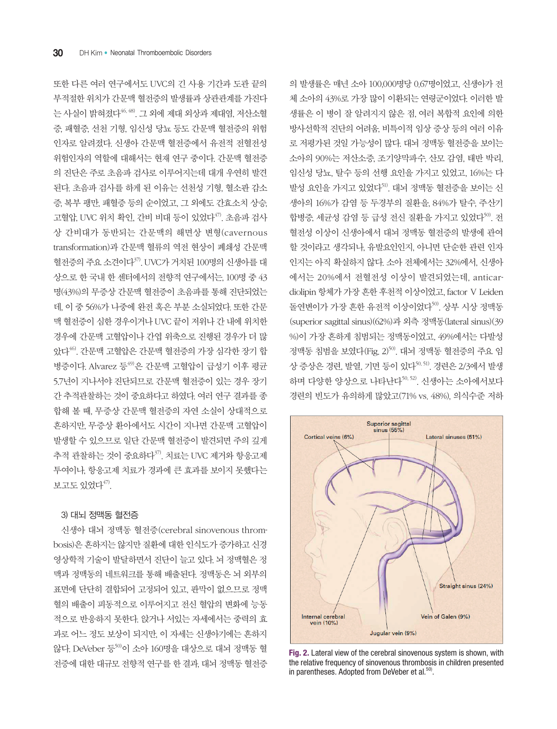또한 다른 여러 연구에서도 UVC의 긴 사용 기간과 도관 끝의 부적절한 위치가 간문맥 혈전증의 발생률과 상관관계를 가진다 는 사실이 밝혀졌다46, 48). 그 외에 제대 외상과 제대염, 저산소혈 증, 패혈증, 선천 기형, 임신성 당뇨 등도 간문맥 혈전증의 위험 인자로 알려졌다. 신생아 간문맥 혈전증에서 유전적 전혈전성 위험인자의 역할에 대해서는 현재 연구 중이다. 간문맥 혈전증 의 진단은 주로 초음파 검사로 이루어지는데 대개 우연히 발견 된다. 초음파 검사를 하게 된 이유는 선천성 기형, 혈소판 감소 증, 복부 팽만, 패혈증 등의 순이었고, 그 외에도 간효소치 상승, 고혈압, UVC 위치 확인, 간비 비대 등이 있었다 $47$ . 초음파 검사 상 간비대가 동반되는 간문맥의 해면상 변형(cavernous transformation)과 간문맥 혈류의 역전 현상이 폐쇄성 간문맥 혈전증의 주요 소견이다<sup>37)</sup>. UVC가 거치된 100명의 신생아를 대 상으로 한 국내 한 센터에서의 전향적 연구에서는, 100명 중 43 명(43%)의 무증상 간문맥 혈전증이 초음파를 통해 진단되었는 데, 이 중 56%가 나중에 완전 혹은 부분 소실되었다. 또한 간문 맥 혈전증이 심한 경우이거나 UVC 끝이 저위나 간 내에 위치한 경우에 간문맥 고혈압이나 간엽 위축으로 진행된 경우가 더 많 았다46). 간문맥 고혈압은 간문맥 혈전증의 가장 심각한 장기 합 병증이다. Alvarez 등 $^{49}$ 은 간문맥 고혈압이 급성기 이후 평균 5.7년이 지나서야 진단되므로 간문맥 혈전증이 있는 경우 장기 간 추적관찰하는 것이 중요하다고 하였다. 여러 연구 결과를 종 합해 볼 때, 무증상 간문맥 혈전증의 자연 소실이 상대적으로 흔하지만, 무증상 환아에서도 시간이 지나면 간문맥 고혈압이 발생할 수 있으므로 일단 간문맥 혈전증이 발견되면 주의 깊게 추적 관찰하는 것이 중요하다<sup>37)</sup>. 치료는 UVC 제거와 항응고제 투여이나, 항응고제 치료가 경과에 큰 효과를 보이지 못했다는 보고도 있었다 $47$ ).

#### 3) 대뇌 정맥동 혈전증

신생아 대뇌 정맥동 혈전증(cerebral sinovenous thrombosis)은 흔하지는 않지만 질환에 대한 인식도가 증가하고 신경 영상학적 기술이 발달하면서 진단이 늘고 있다. 뇌 정맥혈은 정 맥과 정맥동의 네트워크를 통해 배출된다. 정맥동은 뇌 외부의 표면에 단단히 결합되어 고정되어 있고, 판막이 없으므로 정맥 혈의 배출이 피동적으로 이루어지고 전신 혈압의 변화에 능동 적으로 반응하지 못한다. 앉거나 서있는 자세에서는 중력의 효 과로 어느 정도 보상이 되지만, 이 자세는 신생아기에는 흔하지 않다. DeVeber 등50)이 소아 160명을 대상으로 대뇌 정맥동 혈 전증에 대한 대규모 전향적 연구를 한 결과, 대뇌 정맥동 혈전증

의 발생률은 매년 소아 100,000명당 0.67명이었고, 신생아가 전 체 소아의 43%로 가장 많이 이환되는 연령군이었다. 이러한 발 생률은 이 병이 잘 알려지지 않은 점, 여러 복합적 요인에 의한 방사선학적 진단의 어려움, 비특이적 임상 증상 등의 여러 이유 로 저평가된 것일 가능성이 많다. 대뇌 정맥동 혈전증을 보이는 소아의 90%는 저산소증, 조기양막파수, 산모 감염, 태반 박리, 임신성 당뇨, 탈수 등의 선행 요인을 가지고 있었고, 16%는 다 발성 요인을 가지고 있었다51). 대뇌 정맥동 혈전증을 보이는 신 생아의 16%가 감염 등 두경부의 질환을, 84%가 탈수, 주산기 합병증, 세균성 감염 등 급성 전신 질환을 가지고 있었다<sup>50</sup>. 전 혈전성 이상이 신생아에서 대뇌 정맥동 혈전증의 발생에 관여 할 것이라고 생각되나, 유발요인인지, 아니면 단순한 관련 인자 인지는 아직 확실하지 않다. 소아 전체에서는 32%에서, 신생아 에서는 20%에서 전혈전성 이상이 발견되었는데, anticardiolipin 항체가 가장 흔한 후천적 이상이었고, factor Ⅴ Leiden 돌연변이가 가장 흔한 유전적 이상이었다<sup>50)</sup>. 상부 시상 정맥동 (superior sagittal sinus)(62%)과 외측 정맥동(lateral sinus)(39 %)이 가장 흔하게 침범되는 정맥동이었고, 49%에서는 다발성 정맥동 침범을 보였다(Fig. 2)50). 대뇌 정맥동 혈전증의 주요 임 상 증상은 경련, 발열, 기면 등이 있다<sup>50, 51</sup>, 경련은 2/3에서 발생 하며 다양한 양상으로 나타난다<sup>50, 52)</sup>. 신생아는 소아에서보다 경련의 빈도가 유의하게 많았고(71% vs. 48%), 의식수준 저하



**Fig. 2.** Lateral view of the cerebral sinovenous system is shown, with the relative frequency of sinovenous thrombosis in children presented in parentheses. Adopted from DeVeber et al.<sup>50)</sup>.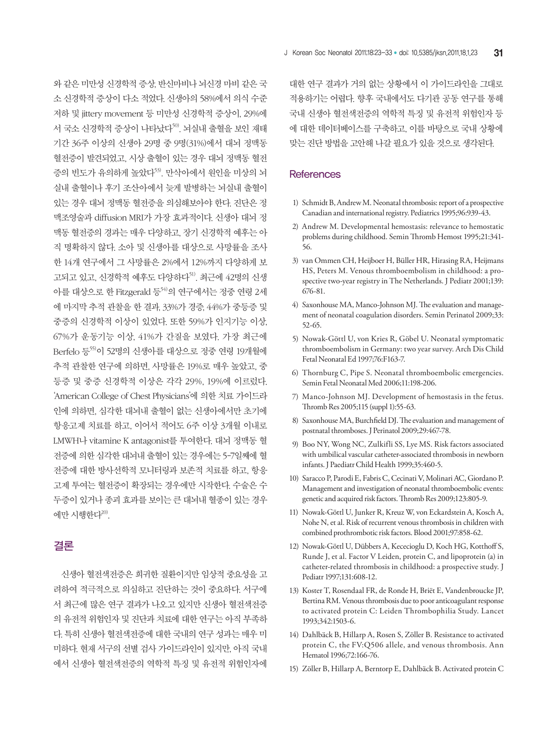와 같은 미만성 신경학적 증상, 반신마비나 뇌신경 마비 같은 국 소 신경학적 증상이 다소 적었다. 신생아의 58%에서 의식 수준 저하 및 jittery movement 등 미만성 신경학적 증상이, 29%에 서 국소 신경학적 증상이 나타났다<sup>50</sup>. 뇌실내 출혈을 보인 재태 기간 36주 이상의 신생아 29명 중 9명(31%)에서 대뇌 정맥동 혈전증이 발견되었고, 시상 출혈이 있는 경우 대뇌 정맥동 혈전 증의 빈도가 유의하게 높았다<sup>53)</sup>. 만삭아에서 원인을 미상의 뇌 실내 출혈이나 후기 조산아에서 늦게 발병하는 뇌실내 출혈이 있는 경우 대뇌 정맥동 혈전증을 의심해보아야 한다. 진단은 정 맥조영술과 diffusion MRI가 가장 효과적이다. 신생아 대뇌 정 맥동 혈전증의 경과는 매우 다양하고, 장기 신경학적 예후는 아 직 명확하지 않다. 소아 및 신생아를 대상으로 사망률을 조사 한 14개 연구에서 그 사망률은 2%에서 12%까지 다양하게 보 고되고 있고, 신경학적 예후도 다양하다<sup>51)</sup>. 최근에 42명의 신생 아를 대상으로 한 Fitzgerald 등 $^{54}$ 의 연구에서는 정중 연령 2세 에 마지막 추적 관찰을 한 결과, 33%가 경증, 44%가 중등증 및 중증의 신경학적 이상이 있었다. 또한 59%가 인지기능 이상, 67%가 운동기능 이상, 41%가 간질을 보였다. 가장 최근에 Berfelo 등55)이 52명의 신생아를 대상으로 정중 연령 19개월에 추적 관찰한 연구에 의하면, 사망률은 19%로 매우 높았고, 중 등증 및 중증 신경학적 이상은 각각 29%, 19%에 이르렀다. 'American College of Chest Physicians'에 의한 치료 가이드라 인에 의하면, 심각한 대뇌내 출혈이 없는 신생아에서만 초기에 항응고제 치료를 하고, 이어서 적어도 6주 이상 3개월 이내로 LMWH나 vitamine K antagonist를 투여한다. 대뇌 정맥동 혈 전증에 의한 심각한 대뇌내 출혈이 있는 경우에는 5-7일째에 혈 전증에 대한 방사선학적 모니터링과 보존적 치료를 하고, 항응 고제 투여는 혈전증이 확장되는 경우에만 시작한다. 수술은 수 두증이 있거나 종괴 효과를 보이는 큰 대뇌내 혈종이 있는 경우 에만 시행한다 $^{20}$ .

# 결론

신생아 혈전색전증은 희귀한 질환이지만 임상적 중요성을 고 려하여 적극적으로 의심하고 진단하는 것이 중요하다. 서구에 서 최근에 많은 연구 결과가 나오고 있지만 신생아 혈전색전증 의 유전적 위험인자 및 진단과 치료에 대한 연구는 아직 부족하 다. 특히 신생아 혈전색전증에 대한 국내의 연구 성과는 매우 미 미하다. 현재 서구의 선별 검사 가이드라인이 있지만, 아직 국내 에서 신생아 혈전색전증의 역학적 특징 및 유전적 위험인자에

대한 연구 결과가 거의 없는 상황에서 이 가이드라인을 그대로 적용하기는 어렵다. 향후 국내에서도 다기관 공동 연구를 통해 국내 신생아 혈전색전증의 역학적 특징 및 유전적 위험인자 등 에 대한 데이터베이스를 구축하고, 이를 바탕으로 국내 상황에 맞는 진단 방법을 고안해 나갈 필요가 있을 것으로 생각된다.

### **References**

- 1) Schmidt B, Andrew M. Neonatal thrombosis: report of a prospective Canadian and international registry. Pediatrics 1995;96:939-43.
- 2) Andrew M. Developmental hemostasis: relevance to hemostatic problems during childhood. Semin Thromb Hemost 1995;21:341- 56.
- 3) van Ommen CH, Heijboer H, Büller HR, Hirasing RA, Heijmans HS, Peters M. Venous thromboembolism in childhood: a prospective two-year registry in The Netherlands. J Pediatr 2001;139: 676-81.
- 4) Saxonhouse MA, Manco-Johnson MJ. The evaluation and management of neonatal coagulation disorders. Semin Perinatol 2009;33: 52-65.
- 5) Nowak-Göttl U, von Kries R, Göbel U. Neonatal symptomatic thromboembolism in Germany: two year survey. Arch Dis Child Fetal Neonatal Ed 1997;76:F163-7.
- 6) Thornburg C, Pipe S. Neonatal thromboembolic emergencies. Semin Fetal Neonatal Med 2006;11:198-206.
- 7) Manco-Johnson MJ. Development of hemostasis in the fetus. Thromb Res 2005;115 (suppl 1):55-63.
- 8) Saxonhouse MA, Burchfield DJ. The evaluation and management of postnatal thromboses. J Perinatol 2009;29:467-78.
- 9) Boo NY, Wong NC, Zulkifli SS, Lye MS. Risk factors associated with umbilical vascular catheter-associated thrombosis in newborn infants. J Paediatr Child Health 1999;35:460-5.
- 10) Saracco P, Parodi E, Fabris C, Cecinati V, Molinari AC, Giordano P. Management and investigation of neonatal thromboembolic events: genetic and acquired risk factors. Thromb Res 2009;123:805-9.
- 11) Nowak-Göttl U, Junker R, Kreuz W, von Eckardstein A, Kosch A, Nohe N, et al. Risk of recurrent venous thrombosis in children with combined prothrombotic risk factors. Blood 2001;97:858-62.
- 12) Nowak-Göttl U, Dübbers A, Kececioglu D, Koch HG, Kotthoff S, Runde J, et al. Factor V Leiden, protein C, and lipoprotein (a) in catheter-related thrombosis in childhood: a prospective study. J Pediatr 1997;131:608-12.
- 13) Koster T, Rosendaal FR, de Ronde H, Briët E, Vandenbroucke JP, Bertina RM. Venous thrombosis due to poor anticoagulant response to activated protein C: Leiden Thrombophilia Study. Lancet 1993;342:1503-6.
- 14) Dahlbäck B, Hillarp A, Rosen S, Zöller B. Resistance to activated protein C, the FV:Q506 allele, and venous thrombosis. Ann Hematol 1996;72:166-76.
- 15) Zöller B, Hillarp A, Berntorp E, Dahlbäck B. Activated protein C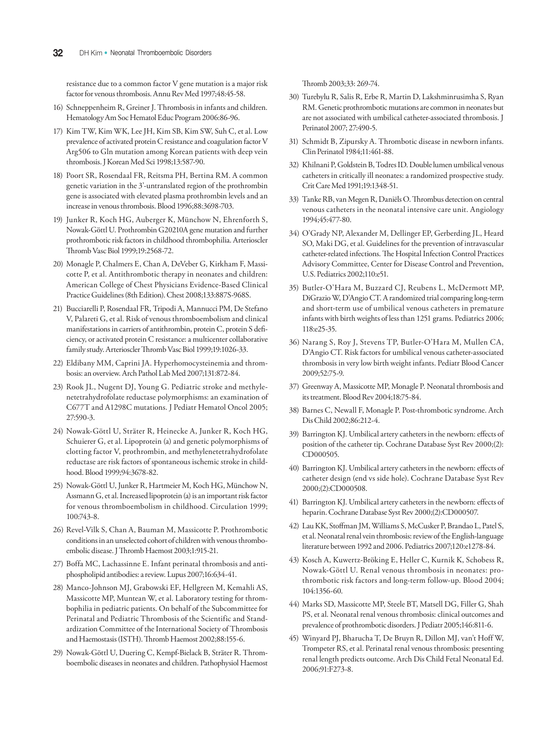resistance due to a common factor V gene mutation is a major risk factor for venous thrombosis. Annu Rev Med 1997;48:45-58.

- 16) Schneppenheim R, Greiner J. Thrombosis in infants and children. Hematology Am Soc Hematol Educ Program 2006:86-96.
- 17) Kim TW, Kim WK, Lee JH, Kim SB, Kim SW, Suh C, et al. Low prevalence of activated protein C resistance and coagulation factor V Arg506 to Gln mutation among Korean patients with deep vein thrombosis. J Korean Med Sci 1998;13:587-90.
- 18) Poort SR, Rosendaal FR, Reitsma PH, Bertina RM. A common genetic variation in the 3'-untranslated region of the prothrombin gene is associated with elevated plasma prothrombin levels and an increase in venous thrombosis. Blood 1996;88:3698-703.
- 19) Junker R, Koch HG, Auberger K, Münchow N, Ehrenforth S, Nowak-Göttl U. Prothrombin G20210A gene mutation and further prothrombotic risk factors in childhood thrombophilia. Arterioscler Thromb Vasc Biol 1999;19:2568-72.
- 20) Monagle P, Chalmers E, Chan A, DeVeber G, Kirkham F, Massicotte P, et al. Antithrombotic therapy in neonates and children: American College of Chest Physicians Evidence-Based Clinical Practice Guidelines (8th Edition). Chest 2008;133:887S-968S.
- 21) Bucciarelli P, Rosendaal FR, Tripodi A, Mannucci PM, De Stefano V, Palareti G, et al. Risk of venous thromboembolism and clinical manifestations in carriers of antithrombin, protein C, protein S deficiency, or activated protein C resistance: a multicenter collaborative family study. Arterioscler Thromb Vasc Biol 1999;19:1026-33.
- 22) Eldibany MM, Caprini JA. Hyperhomocysteinemia and thrombosis: an overview. Arch Pathol Lab Med 2007;131:872-84.
- 23) Rook JL, Nugent DJ, Young G. Pediatric stroke and methylenetetrahydrofolate reductase polymorphisms: an examination of C677T and A1298C mutations. J Pediatr Hematol Oncol 2005; 27:590-3.
- 24) Nowak-Göttl U, Sträter R, Heinecke A, Junker R, Koch HG, Schuierer G, et al. Lipoprotein (a) and genetic polymorphisms of clotting factor V, prothrombin, and methylenetetrahydrofolate reductase are risk factors of spontaneous ischemic stroke in childhood. Blood 1999;94:3678-82.
- 25) Nowak-Göttl U, Junker R, Hartmeier M, Koch HG, Münchow N, Assmann G, et al. Increased lipoprotein (a) is an important risk factor for venous thromboembolism in childhood. Circulation 1999; 100:743-8.
- 26) Revel-Vilk S, Chan A, Bauman M, Massicotte P. Prothrombotic conditions in an unselected cohort of children with venous thromboembolic disease. J Thromb Haemost 2003;1:915-21.
- 27) Boffa MC, Lachassinne E. Infant perinatal thrombosis and antiphospholipid antibodies: a review. Lupus 2007;16:634-41.
- 28) Manco-Johnson MJ, Grabowski EF, Hellgreen M, Kemahli AS, Massicotte MP, Muntean W, et al. Laboratory testing for thrombophilia in pediatric patients. On behalf of the Subcommittee for Perinatal and Pediatric Thrombosis of the Scientific and Standardization Committee of the International Society of Thrombosis and Haemostasis (ISTH). Thromb Haemost 2002;88:155-6.
- 29) Nowak-Göttl U, Duering C, Kempf-Bielack B, Sträter R. Thromboembolic diseases in neonates and children. Pathophysiol Haemost

Thromb 2003;33: 269-74.

- 30) Turebylu R, Salis R, Erbe R, Martin D, Lakshminrusimha S, Ryan RM. Genetic prothrombotic mutations are common in neonates but are not associated with umbilical catheter-associated thrombosis. J Perinatol 2007; 27:490-5.
- 31) Schmidt B, Zipursky A. Thrombotic disease in newborn infants. Clin Perinatol 1984;11:461-88.
- 32) Khilnani P, Goldstein B, Todres ID. Double lumen umbilical venous catheters in critically ill neonates: a randomized prospective study. Crit Care Med 1991;19:1348-51.
- 33) Tanke RB, van Megen R, Daniëls O. Thrombus detection on central venous catheters in the neonatal intensive care unit. Angiology 1994;45:477-80.
- 34) O'Grady NP, Alexander M, Dellinger EP, Gerberding JL, Heard SO, Maki DG, et al. Guidelines for the prevention of intravascular catheter-related infections. The Hospital Infection Control Practices Advisory Committee, Center for Disease Control and Prevention, U.S. Pediatrics 2002;110:e51.
- 35) Butler-O'Hara M, Buzzard CJ, Reubens L, McDermott MP, DiGrazio W, D'Angio CT. A randomized trial comparing long-term and short-term use of umbilical venous catheters in premature infants with birth weights of less than 1251 grams. Pediatrics 2006; 118:e25-35.
- 36) Narang S, Roy J, Stevens TP, Butler-O'Hara M, Mullen CA, D'Angio CT. Risk factors for umbilical venous catheter-associated thrombosis in very low birth weight infants. Pediatr Blood Cancer 2009;52:75-9.
- 37) Greenway A, Massicotte MP, Monagle P. Neonatal thrombosis and its treatment. Blood Rev 2004;18:75-84.
- 38) Barnes C, Newall F, Monagle P. Post-thrombotic syndrome. Arch Dis Child 2002;86:212-4.
- 39) Barrington KJ. Umbilical artery catheters in the newborn: effects of position of the catheter tip. Cochrane Database Syst Rev 2000;(2): CD000505.
- 40) Barrington KJ. Umbilical artery catheters in the newborn: effects of catheter design (end vs side hole). Cochrane Database Syst Rev 2000;(2):CD000508.
- 41) Barrington KJ. Umbilical artery catheters in the newborn: effects of heparin. Cochrane Database Syst Rev 2000;(2):CD000507.
- 42) Lau KK, Stoffman JM, Williams S, McCusker P, Brandao L, Patel S, et al. Neonatal renal vein thrombosis: review of the English-language literature between 1992 and 2006. Pediatrics 2007;120:e1278-84.
- 43) Kosch A, Kuwertz-Bröking E, Heller C, Kurnik K, Schobess R, Nowak-Göttl U. Renal venous thrombosis in neonates: prothrombotic risk factors and long-term follow-up. Blood 2004; 104:1356-60.
- 44) Marks SD, Massicotte MP, Steele BT, Matsell DG, Filler G, Shah PS, et al. Neonatal renal venous thrombosis: clinical outcomes and prevalence of prothrombotic disorders. J Pediatr 2005;146:811-6.
- 45) Winyard PJ, Bharucha T, De Bruyn R, Dillon MJ, van't Hoff W, Trompeter RS, et al. Perinatal renal venous thrombosis: presenting renal length predicts outcome. Arch Dis Child Fetal Neonatal Ed. 2006;91:F273-8.